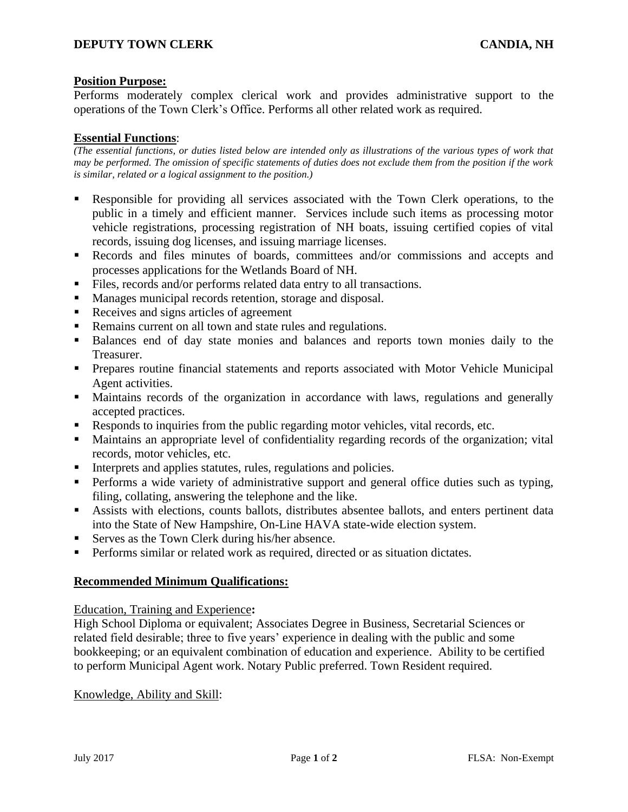# **Position Purpose:**

Performs moderately complex clerical work and provides administrative support to the operations of the Town Clerk's Office. Performs all other related work as required.

## **Essential Functions**:

*(The essential functions, or duties listed below are intended only as illustrations of the various types of work that may be performed. The omission of specific statements of duties does not exclude them from the position if the work is similar, related or a logical assignment to the position.)*

- Responsible for providing all services associated with the Town Clerk operations, to the public in a timely and efficient manner. Services include such items as processing motor vehicle registrations, processing registration of NH boats, issuing certified copies of vital records, issuing dog licenses, and issuing marriage licenses.
- Records and files minutes of boards, committees and/or commissions and accepts and processes applications for the Wetlands Board of NH.
- Files, records and/or performs related data entry to all transactions.
- Manages municipal records retention, storage and disposal.
- Receives and signs articles of agreement
- Remains current on all town and state rules and regulations.
- Balances end of day state monies and balances and reports town monies daily to the Treasurer.
- Prepares routine financial statements and reports associated with Motor Vehicle Municipal Agent activities.
- Maintains records of the organization in accordance with laws, regulations and generally accepted practices.
- Responds to inquiries from the public regarding motor vehicles, vital records, etc.
- Maintains an appropriate level of confidentiality regarding records of the organization; vital records, motor vehicles, etc.
- Interprets and applies statutes, rules, regulations and policies.
- **•** Performs a wide variety of administrative support and general office duties such as typing, filing, collating, answering the telephone and the like.
- Assists with elections, counts ballots, distributes absentee ballots, and enters pertinent data into the State of New Hampshire, On-Line HAVA state-wide election system.
- Serves as the Town Clerk during his/her absence.
- **•** Performs similar or related work as required, directed or as situation dictates.

## **Recommended Minimum Qualifications:**

## Education, Training and Experience**:**

High School Diploma or equivalent; Associates Degree in Business, Secretarial Sciences or related field desirable; three to five years' experience in dealing with the public and some bookkeeping; or an equivalent combination of education and experience. Ability to be certified to perform Municipal Agent work. Notary Public preferred. Town Resident required.

Knowledge, Ability and Skill: